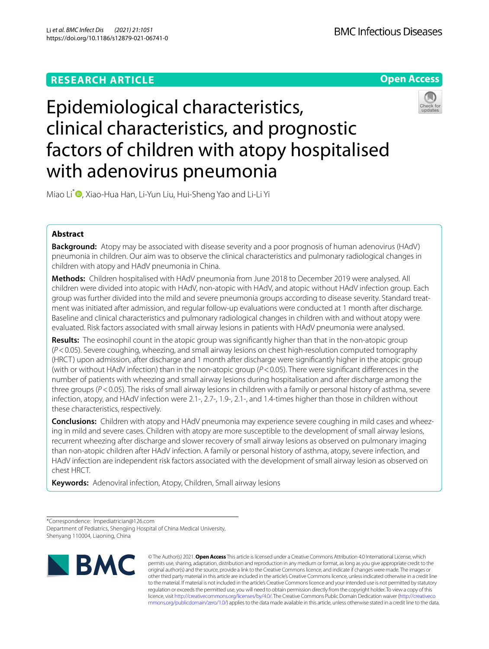

# Epidemiological characteristics, clinical characteristics, and prognostic factors of children with atopy hospitalised with adenovirus pneumonia



Miao Li<sup>\*</sup> [,](http://orcid.org/0000-0002-2232-831X) Xiao-Hua Han, Li-Yun Liu, Hui-Sheng Yao and Li-Li Yi

# **Abstract**

**Background:** Atopy may be associated with disease severity and a poor prognosis of human adenovirus (HAdV) pneumonia in children. Our aim was to observe the clinical characteristics and pulmonary radiological changes in children with atopy and HAdV pneumonia in China.

**Methods:** Children hospitalised with HAdV pneumonia from June 2018 to December 2019 were analysed. All children were divided into atopic with HAdV, non-atopic with HAdV, and atopic without HAdV infection group. Each group was further divided into the mild and severe pneumonia groups according to disease severity. Standard treat‑ ment was initiated after admission, and regular follow-up evaluations were conducted at 1 month after discharge. Baseline and clinical characteristics and pulmonary radiological changes in children with and without atopy were evaluated. Risk factors associated with small airway lesions in patients with HAdV pneumonia were analysed.

**Results:** The eosinophil count in the atopic group was signifcantly higher than that in the non-atopic group (*P*<0.05). Severe coughing, wheezing, and small airway lesions on chest high-resolution computed tomography (HRCT) upon admission, after discharge and 1 month after discharge were signifcantly higher in the atopic group (with or without HAdV infection) than in the non-atopic group (*P*<0.05). There were signifcant diferences in the number of patients with wheezing and small airway lesions during hospitalisation and after discharge among the three groups (*P*<0.05). The risks of small airway lesions in children with a family or personal history of asthma, severe infection, atopy, and HAdV infection were 2.1-, 2.7-, 1.9-, 2.1-, and 1.4-times higher than those in children without these characteristics, respectively.

**Conclusions:** Children with atopy and HAdV pneumonia may experience severe coughing in mild cases and wheez‑ ing in mild and severe cases. Children with atopy are more susceptible to the development of small airway lesions, recurrent wheezing after discharge and slower recovery of small airway lesions as observed on pulmonary imaging than non-atopic children after HAdV infection. A family or personal history of asthma, atopy, severe infection, and HAdV infection are independent risk factors associated with the development of small airway lesion as observed on chest HRCT.

**Keywords:** Adenoviral infection, Atopy, Children, Small airway lesions

<sup>\*</sup>Correspondence: lmpediatrician@126.com Department of Pediatrics, Shengjing Hospital of China Medical University, Shenyang 110004, Liaoning, China



© The Author(s) 2021. **Open Access** This article is licensed under a Creative Commons Attribution 4.0 International License, which permits use, sharing, adaptation, distribution and reproduction in any medium or format, as long as you give appropriate credit to the original author(s) and the source, provide a link to the Creative Commons licence, and indicate if changes were made. The images or other third party material in this article are included in the article's Creative Commons licence, unless indicated otherwise in a credit line to the material. If material is not included in the article's Creative Commons licence and your intended use is not permitted by statutory regulation or exceeds the permitted use, you will need to obtain permission directly from the copyright holder. To view a copy of this licence, visit [http://creativecommons.org/licenses/by/4.0/.](http://creativecommons.org/licenses/by/4.0/) The Creative Commons Public Domain Dedication waiver ([http://creativeco](http://creativecommons.org/publicdomain/zero/1.0/) [mmons.org/publicdomain/zero/1.0/](http://creativecommons.org/publicdomain/zero/1.0/)) applies to the data made available in this article, unless otherwise stated in a credit line to the data.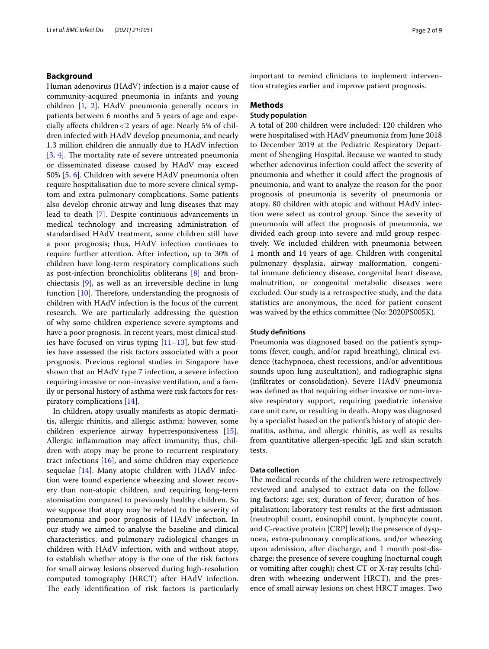## **Background**

Human adenovirus (HAdV) infection is a major cause of community-acquired pneumonia in infants and young children [[1,](#page-7-0) [2\]](#page-7-1). HAdV pneumonia generally occurs in patients between 6 months and 5 years of age and especially afects children<2 years of age. Nearly 5% of children infected with HAdV develop pneumonia, and nearly 1.3 million children die annually due to HAdV infection  $[3, 4]$  $[3, 4]$  $[3, 4]$  $[3, 4]$ . The mortality rate of severe untreated pneumonia or disseminated disease caused by HAdV may exceed 50% [\[5](#page-7-4), [6](#page-7-5)]. Children with severe HAdV pneumonia often require hospitalisation due to more severe clinical symptom and extra-pulmonary complications. Some patients also develop chronic airway and lung diseases that may lead to death [\[7](#page-7-6)]. Despite continuous advancements in medical technology and increasing administration of standardised HAdV treatment, some children still have a poor prognosis; thus, HAdV infection continues to require further attention. After infection, up to 30% of children have long-term respiratory complications such as post-infection bronchiolitis obliterans [[8](#page-7-7)] and bronchiectasis [[9](#page-7-8)], as well as an irreversible decline in lung function  $[10]$  $[10]$ . Therefore, understanding the prognosis of children with HAdV infection is the focus of the current research. We are particularly addressing the question of why some children experience severe symptoms and have a poor prognosis. In recent years, most clinical studies have focused on virus typing  $[11–13]$  $[11–13]$  $[11–13]$ , but few studies have assessed the risk factors associated with a poor prognosis. Previous regional studies in Singapore have shown that an HAdV type 7 infection, a severe infection requiring invasive or non-invasive ventilation, and a family or personal history of asthma were risk factors for respiratory complications [[14\]](#page-8-2).

In children, atopy usually manifests as atopic dermatitis, allergic rhinitis, and allergic asthma; however, some children experience airway hyperresponsiveness [\[15](#page-8-3)]. Allergic infammation may afect immunity; thus, children with atopy may be prone to recurrent respiratory tract infections [\[16](#page-8-4)], and some children may experience sequelae  $[14]$ . Many atopic children with HAdV infection were found experience wheezing and slower recovery than non-atopic children, and requiring long-term atomisation compared to previously healthy children. So we suppose that atopy may be related to the severity of pneumonia and poor prognosis of HAdV infection. In our study we aimed to analyse the baseline and clinical characteristics, and pulmonary radiological changes in children with HAdV infection, with and without atopy, to establish whether atopy is the one of the risk factors for small airway lesions observed during high-resolution computed tomography (HRCT) after HAdV infection. The early identification of risk factors is particularly important to remind clinicians to implement intervention strategies earlier and improve patient prognosis.

### **Methods**

## **Study population**

A total of 200 children were included: 120 children who were hospitalised with HAdV pneumonia from June 2018 to December 2019 at the Pediatric Respiratory Department of Shengjing Hospital. Because we wanted to study whether adenovirus infection could affect the severity of pneumonia and whether it could afect the prognosis of pneumonia, and want to analyze the reason for the poor prognosis of pneumonia is severity of pneumonia or atopy, 80 children with atopic and without HAdV infection were select as control group. Since the severity of pneumonia will afect the prognosis of pneumonia, we divided each group into severe and mild group respectively. We included children with pneumonia between 1 month and 14 years of age. Children with congenital pulmonary dysplasia, airway malformation, congenital immune defciency disease, congenital heart disease, malnutrition, or congenital metabolic diseases were excluded. Our study is a retrospective study, and the data statistics are anonymous, the need for patient consent was waived by the ethics committee (No: 2020PS005K).

#### **Study defnitions**

Pneumonia was diagnosed based on the patient's symptoms (fever, cough, and/or rapid breathing), clinical evidence (tachypnoea, chest recessions, and/or adventitious sounds upon lung auscultation), and radiographic signs (infltrates or consolidation). Severe HAdV pneumonia was defned as that requiring either invasive or non-invasive respiratory support, requiring paediatric intensive care unit care, or resulting in death. Atopy was diagnosed by a specialist based on the patient's history of atopic dermatitis, asthma, and allergic rhinitis, as well as results from quantitative allergen-specifc IgE and skin scratch tests.

## **Data collection**

The medical records of the children were retrospectively reviewed and analysed to extract data on the following factors: age; sex; duration of fever; duration of hospitalisation; laboratory test results at the frst admission (neutrophil count, eosinophil count, lymphocyte count, and C-reactive protein [CRP] level); the presence of dyspnoea, extra-pulmonary complications, and/or wheezing upon admission, after discharge, and 1 month post-discharge; the presence of severe coughing (nocturnal cough or vomiting after cough); chest CT or X-ray results (children with wheezing underwent HRCT), and the presence of small airway lesions on chest HRCT images. Two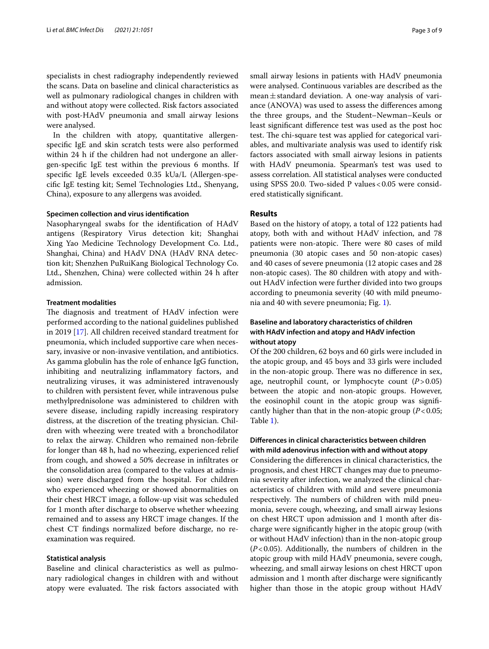specialists in chest radiography independently reviewed the scans. Data on baseline and clinical characteristics as well as pulmonary radiological changes in children with and without atopy were collected. Risk factors associated with post-HAdV pneumonia and small airway lesions were analysed.

In the children with atopy, quantitative allergenspecifc IgE and skin scratch tests were also performed within 24 h if the children had not undergone an allergen-specifc IgE test within the previous 6 months. If specifc IgE levels exceeded 0.35 kUa/L (Allergen-specifc IgE testing kit; Semel Technologies Ltd., Shenyang, China), exposure to any allergens was avoided.

## **Specimen collection and virus identifcation**

Nasopharyngeal swabs for the identifcation of HAdV antigens (Respiratory Virus detection kit; Shanghai Xing Yao Medicine Technology Development Co. Ltd., Shanghai, China) and HAdV DNA (HAdV RNA detection kit; Shenzhen PuRuiKang Biological Technology Co. Ltd., Shenzhen, China) were collected within 24 h after admission.

#### **Treatment modalities**

The diagnosis and treatment of HAdV infection were performed according to the national guidelines published in 2019 [[17](#page-8-5)]. All children received standard treatment for pneumonia, which included supportive care when necessary, invasive or non-invasive ventilation, and antibiotics. As gamma globulin has the role of enhance IgG function, inhibiting and neutralizing infammatory factors, and neutralizing viruses, it was administered intravenously to children with persistent fever, while intravenous pulse methylprednisolone was administered to children with severe disease, including rapidly increasing respiratory distress, at the discretion of the treating physician. Children with wheezing were treated with a bronchodilator to relax the airway. Children who remained non-febrile for longer than 48 h, had no wheezing, experienced relief from cough, and showed a 50% decrease in infltrates or the consolidation area (compared to the values at admission) were discharged from the hospital. For children who experienced wheezing or showed abnormalities on their chest HRCT image, a follow-up visit was scheduled for 1 month after discharge to observe whether wheezing remained and to assess any HRCT image changes. If the chest CT fndings normalized before discharge, no reexamination was required.

## **Statistical analysis**

Baseline and clinical characteristics as well as pulmonary radiological changes in children with and without atopy were evaluated. The risk factors associated with small airway lesions in patients with HAdV pneumonia were analysed. Continuous variables are described as the mean $\pm$ standard deviation. A one-way analysis of variance (ANOVA) was used to assess the diferences among the three groups, and the Student–Newman–Keuls or least signifcant diference test was used as the post hoc test. The chi-square test was applied for categorical variables, and multivariate analysis was used to identify risk factors associated with small airway lesions in patients with HAdV pneumonia. Spearman's test was used to assess correlation. All statistical analyses were conducted using SPSS 20.0. Two-sided P values < 0.05 were considered statistically signifcant.

## **Results**

Based on the history of atopy, a total of 122 patients had atopy, both with and without HAdV infection, and 78 patients were non-atopic. There were 80 cases of mild pneumonia (30 atopic cases and 50 non-atopic cases) and 40 cases of severe pneumonia (12 atopic cases and 28 non-atopic cases). The 80 children with atopy and without HAdV infection were further divided into two groups according to pneumonia severity (40 with mild pneumonia and 40 with severe pneumonia; Fig. [1](#page-3-0)).

# **Baseline and laboratory characteristics of children with HAdV infection and atopy and HAdV infection without atopy**

Of the 200 children, 62 boys and 60 girls were included in the atopic group, and 45 boys and 33 girls were included in the non-atopic group. There was no difference in sex, age, neutrophil count, or lymphocyte count (*P*>0.05) between the atopic and non-atopic groups. However, the eosinophil count in the atopic group was signifcantly higher than that in the non-atopic group (*P*<0.05; Table [1](#page-3-1)).

# **Diferences in clinical characteristics between children with mild adenovirus infection with and without atopy**

Considering the diferences in clinical characteristics, the prognosis, and chest HRCT changes may due to pneumonia severity after infection, we analyzed the clinical characteristics of children with mild and severe pneumonia respectively. The numbers of children with mild pneumonia, severe cough, wheezing, and small airway lesions on chest HRCT upon admission and 1 month after discharge were signifcantly higher in the atopic group (with or without HAdV infection) than in the non-atopic group (*P*<0.05). Additionally, the numbers of children in the atopic group with mild HAdV pneumonia, severe cough, wheezing, and small airway lesions on chest HRCT upon admission and 1 month after discharge were signifcantly higher than those in the atopic group without HAdV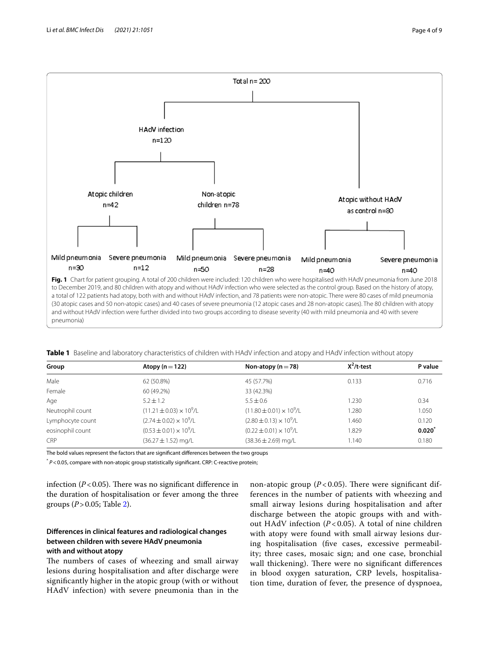

<span id="page-3-1"></span><span id="page-3-0"></span>**Table 1** Baseline and laboratory characteristics of children with HAdV infection and atopy and HAdV infection without atopy

| Group            | Atopy ( $n = 122$ )                | Non-atopy ( $n = 78$ )              | $X^2/t$ -test | P value  |
|------------------|------------------------------------|-------------------------------------|---------------|----------|
| Male             | 62 (50.8%)                         | 45 (57.7%)                          | 0.133         | 0.716    |
| Female           | 60 (49.2%)                         | 33 (42.3%)                          |               |          |
| Age              | $5.2 \pm 1.2$                      | $5.5 \pm 0.6$                       | 1.230         | 0.34     |
| Neutrophil count | $(11.21 \pm 0.03) \times 10^9$ /L  | $(11.80 \pm 0.01) \times 10^{9}$ /L | 1.280         | .050     |
| Lymphocyte count | $(2.74 \pm 0.02) \times 10^9$ /L   | $(2.80 \pm 0.13) \times 10^9$ /L    | 1.460         | 0.120    |
| eosinophil count | $(0.53 \pm 0.01) \times 10^{9}$ /L | $(0.22 \pm 0.01) \times 10^9$ /L    | 1.829         | $0.020*$ |
| CRP              | $(36.27 \pm 1.52)$ mg/L            | $(38.36 \pm 2.69)$ mg/L             | 1.140         | 0.180    |

The bold values represent the factors that are signifcant diferences between the two groups

\* *P*<0.05, compare with non-atopic group statistically signifcant. CRP: C-reactive protein;

infection  $(P<0.05)$ . There was no significant difference in the duration of hospitalisation or fever among the three groups (*P*>0.05; Table [2\)](#page-4-0).

# **Diferences in clinical features and radiological changes between children with severe HAdV pneumonia with and without atopy**

The numbers of cases of wheezing and small airway lesions during hospitalisation and after discharge were signifcantly higher in the atopic group (with or without HAdV infection) with severe pneumonia than in the

non-atopic group  $(P< 0.05)$ . There were significant differences in the number of patients with wheezing and small airway lesions during hospitalisation and after discharge between the atopic groups with and without HAdV infection (*P* < 0.05). A total of nine children with atopy were found with small airway lesions during hospitalisation (fve cases, excessive permeability; three cases, mosaic sign; and one case, bronchial wall thickening). There were no significant differences in blood oxygen saturation, CRP levels, hospitalisation time, duration of fever, the presence of dyspnoea,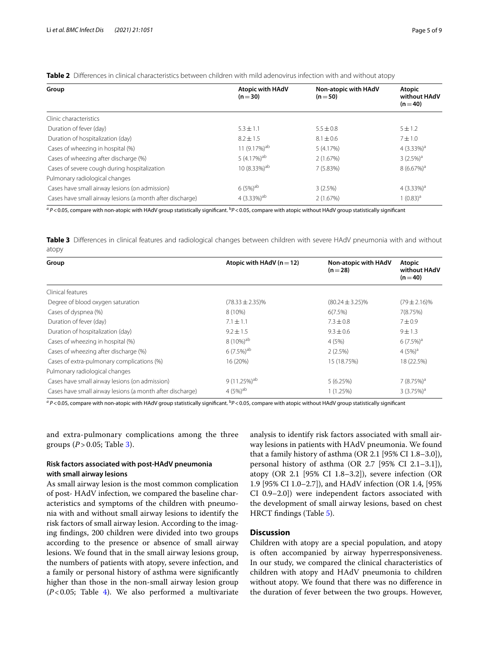Pulmonary radiological changes

| Group                  | Atopic with HAdV<br>$(n=30)$ | Non-atopic with HAdV<br>$(n=50)$ | Atopic<br>without HAdV<br>$(n=40)$ |
|------------------------|------------------------------|----------------------------------|------------------------------------|
| Clinic characteristics |                              |                                  |                                    |

Duration of fever (day)  $5.3 \pm 1.1$   $5.5 \pm 0.8$   $5 \pm 1.2$ Duration of hospitalization (day)  $8.2 \pm 1.5$   $8.1 \pm 0.6$   $7 \pm 1.0$ <br>Cases of wheezing in hospital (%)  $4 \times 3.33$ Cases of wheezing in hospital (%)  $11 (9.17\%)^{ab}$  5 (4.17%)  $4 (3.33\%)^{a}$ Cases of wheezing after discharge (%)  $(96)$  5 (4.17%)<sup>ab</sup> 2 (1.67%)  $(1.67\%)$  3 (2.5%)<sup>a</sup> Cases of severe cough during hospitalization  $8(6.67\%)^3$   $7(5.83\%)$   $8(6.67\%)^3$ 

<span id="page-4-0"></span>**Table 2** Differences in clinical characteristics between children with mild adenovirus infection with and without atopy

a P<0.05, compare with non-atopic with HAdV group statistically significant. <sup>b</sup>P<0.05, compare with atopic without HAdV group statistically significant

Cases have small airway lesions (on admission)  $6(5%)^{ab}$   $3(2.5%)$   $4(3.33%)^{a}$ Cases have small airway lesions (a month after discharge)  $4(3.33\%)^{ab}$   $2(1.67\%)$   $2(1.67\%)$   $1(0.83)^{a}$ 

<span id="page-4-1"></span>**Table 3** Diferences in clinical features and radiological changes between children with severe HAdV pneumonia with and without atopy

| Group                                                     | Atopic with HAdV ( $n = 12$ ) | Non-atopic with HAdV<br>$(n=28)$ | Atopic<br>without HAdV<br>$(n=40)$ |
|-----------------------------------------------------------|-------------------------------|----------------------------------|------------------------------------|
| Clinical features                                         |                               |                                  |                                    |
| Degree of blood oxygen saturation                         | $(78.33 \pm 2.35)\%$          | $(80.24 \pm 3.25)\%$             | $(79 \pm 2.16)\%$                  |
| Cases of dyspnea (%)                                      | 8 (10%)                       | 6(7.5%)                          | 7(8.75%)                           |
| Duration of fever (day)                                   | $7.1 \pm 1.1$                 | $7.3 \pm 0.8$                    | 7 ± 0.9                            |
| Duration of hospitalization (day)                         | $9.2 \pm 1.5$                 | $9.3 \pm 0.6$                    | $9 + 1.3$                          |
| Cases of wheezing in hospital (%)                         | $8(10\%)^{ab}$                | 4(5%)                            | $6(7.5\%)^a$                       |
| Cases of wheezing after discharge (%)                     | $6(7.5\%)^{ab}$               | 2(2.5%)                          | 4 $(5%)^a$                         |
| Cases of extra-pulmonary complications (%)                | 16 (20%)                      | 15 (18.75%)                      | 18 (22.5%)                         |
| Pulmonary radiological changes                            |                               |                                  |                                    |
| Cases have small airway lesions (on admission)            | $9(11.25\%)^{ab}$             | 5(6.25%)                         | 7 $(8.75%)^a$                      |
| Cases have small airway lesions (a month after discharge) | $4(5%)^{ab}$                  | 1(1.25%)                         | 3(3.75%) <sup>a</sup>              |

a P<0.05, compare with non-atopic with HAdV group statistically significant. <sup>b</sup>P<0.05, compare with atopic without HAdV group statistically significant

and extra-pulmonary complications among the three groups (*P* > 0.05; Table [3](#page-4-1)).

# **Risk factors associated with post-HAdV pneumonia with small airway lesions**

As small airway lesion is the most common complication of post- HAdV infection, we compared the baseline characteristics and symptoms of the children with pneumonia with and without small airway lesions to identify the risk factors of small airway lesion. According to the imaging fndings, 200 children were divided into two groups according to the presence or absence of small airway lesions. We found that in the small airway lesions group, the numbers of patients with atopy, severe infection, and a family or personal history of asthma were signifcantly higher than those in the non-small airway lesion group  $(P<0.05$ ; Table [4](#page-5-0)). We also performed a multivariate analysis to identify risk factors associated with small airway lesions in patients with HAdV pneumonia. We found that a family history of asthma (OR 2.1 [95% CI 1.8–3.0]), personal history of asthma (OR 2.7 [95% CI 2.1–3.1]), atopy (OR 2.1 [95% CI 1.8–3.2]), severe infection (OR 1.9 [95% CI 1.0–2.7]), and HAdV infection (OR 1.4, [95% CI 0.9–2.0]) were independent factors associated with the development of small airway lesions, based on chest HRCT fndings (Table [5](#page-5-1)).

## **Discussion**

Children with atopy are a special population, and atopy is often accompanied by airway hyperresponsiveness. In our study, we compared the clinical characteristics of children with atopy and HAdV pneumonia to children without atopy. We found that there was no diference in the duration of fever between the two groups. However,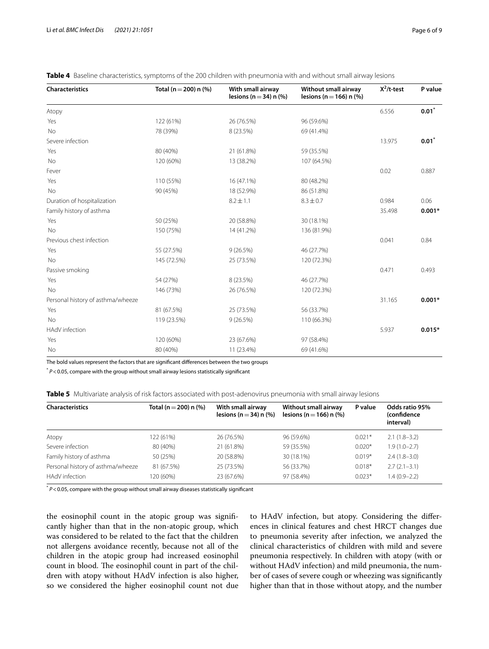| <b>Characteristics</b>            | Total (n = 200) n $(\% )$ | With small airway<br>lesions ( $n = 34$ ) n (%) | Without small airway<br>lesions (n = 166) n $%$ | $X^2/t$ -test | P value             |
|-----------------------------------|---------------------------|-------------------------------------------------|-------------------------------------------------|---------------|---------------------|
| Atopy                             |                           |                                                 |                                                 | 6.556         | $\mathbf{0.01}^{*}$ |
| Yes                               | 122 (61%)                 | 26 (76.5%)                                      | 96 (59.6%)                                      |               |                     |
| No                                | 78 (39%)                  | 8 (23.5%)                                       | 69 (41.4%)                                      |               |                     |
| Severe infection                  |                           |                                                 |                                                 | 13.975        | $0.01^*$            |
| Yes                               | 80 (40%)                  | 21 (61.8%)                                      | 59 (35.5%)                                      |               |                     |
| <b>No</b>                         | 120 (60%)                 | 13 (38.2%)                                      | 107 (64.5%)                                     |               |                     |
| Fever                             |                           |                                                 |                                                 | 0.02          | 0.887               |
| Yes                               | 110 (55%)                 | 16 (47.1%)                                      | 80 (48.2%)                                      |               |                     |
| <b>No</b>                         | 90 (45%)                  | 18 (52.9%)                                      | 86 (51.8%)                                      |               |                     |
| Duration of hospitalization       |                           | $8.2 \pm 1.1$                                   | $8.3 \pm 0.7$                                   | 0.984         | 0.06                |
| Family history of asthma          |                           |                                                 |                                                 | 35.498        | $0.001*$            |
| Yes                               | 50 (25%)                  | 20 (58.8%)                                      | 30 (18.1%)                                      |               |                     |
| No                                | 150 (75%)                 | 14 (41.2%)                                      | 136 (81.9%)                                     |               |                     |
| Previous chest infection          |                           |                                                 |                                                 | 0.041         | 0.84                |
| Yes                               | 55 (27.5%)                | 9(26.5%)                                        | 46 (27.7%)                                      |               |                     |
| <b>No</b>                         | 145 (72.5%)               | 25 (73.5%)                                      | 120 (72.3%)                                     |               |                     |
| Passive smoking                   |                           |                                                 |                                                 | 0.471         | 0.493               |
| Yes                               | 54 (27%)                  | 8 (23.5%)                                       | 46 (27.7%)                                      |               |                     |
| <b>No</b>                         | 146 (73%)                 | 26 (76.5%)                                      | 120 (72.3%)                                     |               |                     |
| Personal history of asthma/wheeze |                           |                                                 |                                                 | 31.165        | $0.001*$            |
| Yes                               | 81 (67.5%)                | 25 (73.5%)                                      | 56 (33.7%)                                      |               |                     |
| <b>No</b>                         | 119 (23.5%)               | 9(26.5%)                                        | 110 (66.3%)                                     |               |                     |
| HAdV infection                    |                           |                                                 |                                                 | 5.937         | $0.015*$            |
| Yes                               | 120 (60%)                 | 23 (67.6%)                                      | 97 (58.4%)                                      |               |                     |
| No                                | 80 (40%)                  | 11 (23.4%)                                      | 69 (41.6%)                                      |               |                     |

<span id="page-5-0"></span>

The bold values represent the factors that are signifcant diferences between the two groups

\* *P*<0.05, compare with the group without small airway lesions statistically signifcant

<span id="page-5-1"></span>

|  |  | Table 5 Multivariate analysis of risk factors associated with post-adenovirus pneumonia with small airway lesions |  |  |
|--|--|-------------------------------------------------------------------------------------------------------------------|--|--|
|--|--|-------------------------------------------------------------------------------------------------------------------|--|--|

| <b>Characteristics</b>            | Total (n = 200) n (%) | With small airway<br>lesions (n $=$ 34) n (%) | Without small airway<br>lesions (n = 166) n $(\% )$ | P value  | Odds ratio 95%<br>(confidence<br>interval) |
|-----------------------------------|-----------------------|-----------------------------------------------|-----------------------------------------------------|----------|--------------------------------------------|
| Atopy                             | 122 (61%)             | 26 (76.5%)                                    | 96 (59.6%)                                          | $0.021*$ | $2.1(1.8-3.2)$                             |
| Severe infection                  | 80 (40%)              | 21 (61.8%)                                    | 59 (35.5%)                                          | $0.020*$ | $1.9(1.0 - 2.7)$                           |
| Family history of asthma          | 50 (25%)              | 20 (58.8%)                                    | 30 (18.1%)                                          | $0.019*$ | $2.4(1.8-3.0)$                             |
| Personal history of asthma/wheeze | 81 (67.5%)            | 25 (73.5%)                                    | 56 (33.7%)                                          | $0.018*$ | $2.7(2.1-3.1)$                             |
| HAdV infection                    | (60%)                 | 23 (67.6%)                                    | 97 (58.4%)                                          | $0.023*$ | $1.4(0.9-2.2)$                             |

\* *P*<0.05, compare with the group without small airway diseases statistically signifcant

the eosinophil count in the atopic group was signifcantly higher than that in the non-atopic group, which was considered to be related to the fact that the children not allergens avoidance recently, because not all of the children in the atopic group had increased eosinophil count in blood. The eosinophil count in part of the children with atopy without HAdV infection is also higher, so we considered the higher eosinophil count not due to HAdV infection, but atopy. Considering the diferences in clinical features and chest HRCT changes due to pneumonia severity after infection, we analyzed the clinical characteristics of children with mild and severe pneumonia respectively. In children with atopy (with or without HAdV infection) and mild pneumonia, the number of cases of severe cough or wheezing was signifcantly higher than that in those without atopy, and the number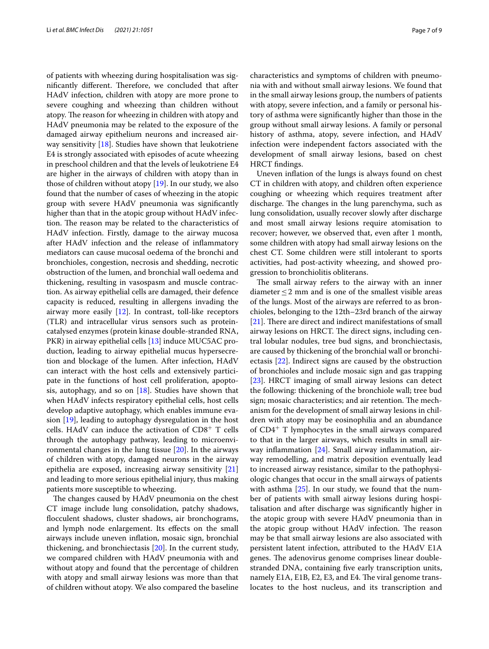of patients with wheezing during hospitalisation was significantly different. Therefore, we concluded that after HAdV infection, children with atopy are more prone to severe coughing and wheezing than children without atopy. The reason for wheezing in children with atopy and HAdV pneumonia may be related to the exposure of the damaged airway epithelium neurons and increased airway sensitivity [[18\]](#page-8-6). Studies have shown that leukotriene E4 is strongly associated with episodes of acute wheezing in preschool children and that the levels of leukotriene E4 are higher in the airways of children with atopy than in those of children without atopy [[19\]](#page-8-7). In our study, we also found that the number of cases of wheezing in the atopic group with severe HAdV pneumonia was signifcantly higher than that in the atopic group without HAdV infection. The reason may be related to the characteristics of HAdV infection. Firstly, damage to the airway mucosa after HAdV infection and the release of infammatory mediators can cause mucosal oedema of the bronchi and bronchioles, congestion, necrosis and shedding, necrotic obstruction of the lumen, and bronchial wall oedema and thickening, resulting in vasospasm and muscle contraction. As airway epithelial cells are damaged, their defence capacity is reduced, resulting in allergens invading the airway more easily [[12\]](#page-8-8). In contrast, toll-like receptors (TLR) and intracellular virus sensors such as proteincatalysed enzymes (protein kinase double-stranded RNA, PKR) in airway epithelial cells [[13](#page-8-1)] induce MUC5AC production, leading to airway epithelial mucus hypersecretion and blockage of the lumen. After infection, HAdV can interact with the host cells and extensively participate in the functions of host cell proliferation, apoptosis, autophagy, and so on  $[18]$  $[18]$  $[18]$ . Studies have shown that when HAdV infects respiratory epithelial cells, host cells develop adaptive autophagy, which enables immune evasion [[19\]](#page-8-7), leading to autophagy dysregulation in the host cells. HAdV can induce the activation of  $CD8<sup>+</sup>$  T cells through the autophagy pathway, leading to microenvironmental changes in the lung tissue [\[20](#page-8-9)]. In the airways of children with atopy, damaged neurons in the airway epithelia are exposed, increasing airway sensitivity [[21](#page-8-10)] and leading to more serious epithelial injury, thus making patients more susceptible to wheezing.

The changes caused by HAdV pneumonia on the chest CT image include lung consolidation, patchy shadows, focculent shadows, cluster shadows, air bronchograms, and lymph node enlargement. Its effects on the small airways include uneven infation, mosaic sign, bronchial thickening, and bronchiectasis [\[20](#page-8-9)]. In the current study, we compared children with HAdV pneumonia with and without atopy and found that the percentage of children with atopy and small airway lesions was more than that of children without atopy. We also compared the baseline characteristics and symptoms of children with pneumonia with and without small airway lesions. We found that in the small airway lesions group, the numbers of patients with atopy, severe infection, and a family or personal history of asthma were signifcantly higher than those in the group without small airway lesions. A family or personal history of asthma, atopy, severe infection, and HAdV infection were independent factors associated with the development of small airway lesions, based on chest HRCT fndings.

Uneven infation of the lungs is always found on chest CT in children with atopy, and children often experience coughing or wheezing which requires treatment after discharge. The changes in the lung parenchyma, such as lung consolidation, usually recover slowly after discharge and most small airway lesions require atomisation to recover; however, we observed that, even after 1 month, some children with atopy had small airway lesions on the chest CT. Some children were still intolerant to sports activities, had post-activity wheezing, and showed progression to bronchiolitis obliterans.

The small airway refers to the airway with an inner diameter  $\leq$  2 mm and is one of the smallest visible areas of the lungs. Most of the airways are referred to as bronchioles, belonging to the 12th–23rd branch of the airway  $[21]$  $[21]$ . There are direct and indirect manifestations of small airway lesions on HRCT. The direct signs, including central lobular nodules, tree bud signs, and bronchiectasis, are caused by thickening of the bronchial wall or bronchiectasis [\[22](#page-8-11)]. Indirect signs are caused by the obstruction of bronchioles and include mosaic sign and gas trapping [[23\]](#page-8-12). HRCT imaging of small airway lesions can detect the following: thickening of the bronchiole wall; tree bud sign; mosaic characteristics; and air retention. The mechanism for the development of small airway lesions in children with atopy may be eosinophilia and an abundance of  $CD4^+$  T lymphocytes in the small airways compared to that in the larger airways, which results in small airway inflammation  $[24]$  $[24]$  $[24]$ . Small airway inflammation, airway remodelling, and matrix deposition eventually lead to increased airway resistance, similar to the pathophysiologic changes that occur in the small airways of patients with asthma  $[25]$  $[25]$  $[25]$ . In our study, we found that the number of patients with small airway lesions during hospitalisation and after discharge was signifcantly higher in the atopic group with severe HAdV pneumonia than in the atopic group without HAdV infection. The reason may be that small airway lesions are also associated with persistent latent infection, attributed to the HAdV E1A genes. The adenovirus genome comprises linear doublestranded DNA, containing fve early transcription units, namely E1A, E1B, E2, E3, and E4. The viral genome translocates to the host nucleus, and its transcription and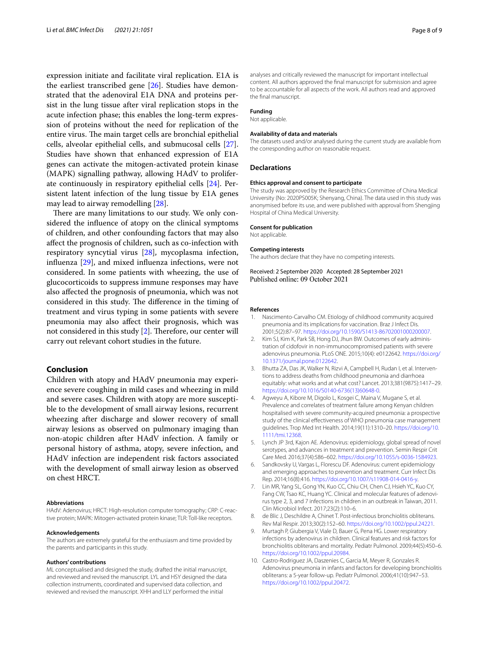expression initiate and facilitate viral replication. E1A is the earliest transcribed gene [\[26](#page-8-15)]. Studies have demonstrated that the adenoviral E1A DNA and proteins persist in the lung tissue after viral replication stops in the acute infection phase; this enables the long-term expression of proteins without the need for replication of the entire virus. The main target cells are bronchial epithelial cells, alveolar epithelial cells, and submucosal cells [\[27](#page-8-16)]. Studies have shown that enhanced expression of E1A genes can activate the mitogen-activated protein kinase (MAPK) signalling pathway, allowing HAdV to proliferate continuously in respiratory epithelial cells [[24\]](#page-8-13). Persistent latent infection of the lung tissue by E1A genes may lead to airway remodelling [[28\]](#page-8-17).

There are many limitations to our study. We only considered the infuence of atopy on the clinical symptoms of children, and other confounding factors that may also afect the prognosis of children, such as co-infection with respiratory syncytial virus [[28\]](#page-8-17), mycoplasma infection, infuenza [[29\]](#page-8-18), and mixed infuenza infections, were not considered. In some patients with wheezing, the use of glucocorticoids to suppress immune responses may have also afected the prognosis of pneumonia, which was not considered in this study. The difference in the timing of treatment and virus typing in some patients with severe pneumonia may also afect their prognosis, which was not considered in this study  $[2]$  $[2]$ . Therefore, our center will carry out relevant cohort studies in the future.

## **Conclusion**

Children with atopy and HAdV pneumonia may experience severe coughing in mild cases and wheezing in mild and severe cases. Children with atopy are more susceptible to the development of small airway lesions, recurrent wheezing after discharge and slower recovery of small airway lesions as observed on pulmonary imaging than non-atopic children after HAdV infection. A family or personal history of asthma, atopy, severe infection, and HAdV infection are independent risk factors associated with the development of small airway lesion as observed on chest HRCT.

#### **Abbreviations**

HAdV: Adenovirus; HRCT: High-resolution computer tomography; CRP: C-reactive protein; MAPK: Mitogen-activated protein kinase; TLR: Toll-like receptors.

#### **Acknowledgements**

The authors are extremely grateful for the enthusiasm and time provided by the parents and participants in this study.

#### **Authors' contributions**

ML conceptualised and designed the study, drafted the initial manuscript, and reviewed and revised the manuscript. LYL and HSY designed the data collection instruments, coordinated and supervised data collection, and reviewed and revised the manuscript. XHH and LLY performed the initial

analyses and critically reviewed the manuscript for important intellectual content. All authors approved the fnal manuscript for submission and agree to be accountable for all aspects of the work. All authors read and approved the fnal manuscript.

# **Funding**

Not applicable.

#### **Availability of data and materials**

The datasets used and/or analysed during the current study are available from the corresponding author on reasonable request.

#### **Declarations**

#### **Ethics approval and consent to participate**

The study was approved by the Research Ethics Committee of China Medical University (No: 2020PS005K; Shenyang, China). The data used in this study was anonymised before its use, and were published with approval from Shengjing Hospital of China Medical University.

#### **Consent for publication**

Not applicable.

## **Competing interests**

The authors declare that they have no competing interests.

Received: 2 September 2020 Accepted: 28 September 2021 Published online: 09 October 2021

#### **References**

- <span id="page-7-0"></span>1. Nascimento-Carvalho CM. Etiology of childhood community acquired pneumonia and its implications for vaccination. Braz J Infect Dis. 2001;5(2):87–97. <https://doi.org/10.1590/S1413-86702001000200007>.
- <span id="page-7-1"></span>2. Kim SJ, Kim K, Park SB, Hong DJ, Jhun BW. Outcomes of early administration of cidofovir in non-immunocompromised patients with severe adenovirus pneumonia. PLoS ONE. 2015;10(4): e0122642. [https://doi.org/](https://doi.org/10.1371/journal.pone.0122642) [10.1371/journal.pone.0122642](https://doi.org/10.1371/journal.pone.0122642).
- <span id="page-7-2"></span>3. Bhutta ZA, Das JK, Walker N, Rizvi A, Campbell H, Rudan I, et al. Interventions to address deaths from childhood pneumonia and diarrhoea equitably: what works and at what cost? Lancet. 2013;381(9875):1417–29. [https://doi.org/10.1016/S0140-6736\(13\)60648-0](https://doi.org/10.1016/S0140-6736(13)60648-0).
- <span id="page-7-3"></span>4. Agweyu A, Kibore M, Digolo L, Kosgei C, Maina V, Mugane S, et al. Prevalence and correlates of treatment failure among Kenyan children hospitalised with severe community-acquired pneumonia: a prospective study of the clinical effectiveness of WHO pneumonia case management guidelines. Trop Med Int Health. 2014;19(11):1310–20. [https://doi.org/10.](https://doi.org/10.1111/tmi.12368) [1111/tmi.12368.](https://doi.org/10.1111/tmi.12368)
- <span id="page-7-4"></span>5. Lynch JP 3rd, Kajon AE. Adenovirus: epidemiology, global spread of novel serotypes, and advances in treatment and prevention. Semin Respir Crit Care Med. 2016;37(4):586–602.<https://doi.org/10.1055/s-0036-1584923>.
- <span id="page-7-5"></span>Sandkovsky U, Vargas L, Florescu DF. Adenovirus: current epidemiology and emerging approaches to prevention and treatment. Curr Infect Dis Rep. 2014;16(8):416. [https://doi.org/10.1007/s11908-014-0416-y.](https://doi.org/10.1007/s11908-014-0416-y)
- <span id="page-7-6"></span>7. Lin MR, Yang SL, Gong YN, Kuo CC, Chiu CH, Chen CJ, Hsieh YC, Kuo CY, Fang CW, Tsao KC, Huang YC. Clinical and molecular features of adenovirus type 2, 3, and 7 infections in children in an outbreak in Taiwan, 2011. Clin Microbiol Infect. 2017;23(2):110–6.
- <span id="page-7-7"></span>8. de Blic J, Deschildre A, Chinet T. Post-infectious bronchiolitis obliterans. Rev Mal Respir. 2013;30(2):152–60. <https://doi.org/10.1002/ppul.24221>.
- <span id="page-7-8"></span>9. Murtagh P, Giubergia V, Viale D, Bauer G, Pena HG. Lower respiratory infections by adenovirus in children. Clinical features and risk factors for bronchiolitis obliterans and mortality. Pediatr Pulmonol. 2009;44(5):450–6. [https://doi.org/10.1002/ppul.20984.](https://doi.org/10.1002/ppul.20984)
- <span id="page-7-9"></span>10. Castro-Rodriguez JA, Daszenies C, Garcia M, Meyer R, Gonzales R. Adenovirus pneumonia in infants and factors for developing bronchiolitis obliterans: a 5-year follow-up. Pediatr Pulmonol. 2006;41(10):947–53. [https://doi.org/10.1002/ppul.20472.](https://doi.org/10.1002/ppul.20472)